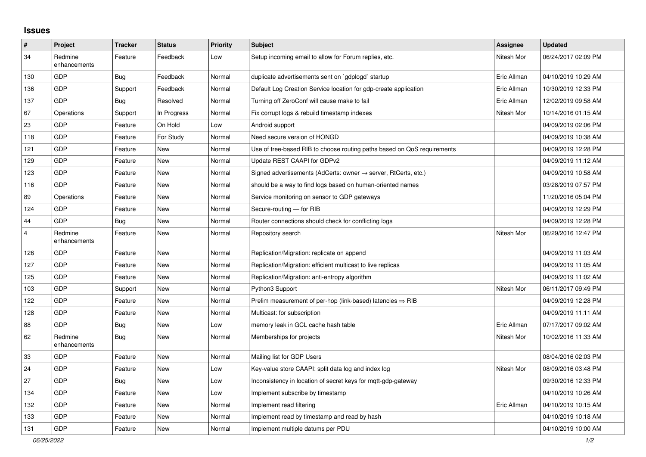## **Issues**

| $\pmb{\#}$              | Project                 | <b>Tracker</b> | <b>Status</b> | <b>Priority</b> | <b>Subject</b>                                                             | <b>Assignee</b> | <b>Updated</b>      |
|-------------------------|-------------------------|----------------|---------------|-----------------|----------------------------------------------------------------------------|-----------------|---------------------|
| 34                      | Redmine<br>enhancements | Feature        | Feedback      | Low             | Setup incoming email to allow for Forum replies, etc.                      | Nitesh Mor      | 06/24/2017 02:09 PM |
| 130                     | <b>GDP</b>              | Bug            | Feedback      | Normal          | duplicate advertisements sent on `gdplogd` startup                         | Eric Allman     | 04/10/2019 10:29 AM |
| 136                     | <b>GDP</b>              | Support        | Feedback      | Normal          | Default Log Creation Service location for gdp-create application           | Eric Allman     | 10/30/2019 12:33 PM |
| 137                     | GDP                     | <b>Bug</b>     | Resolved      | Normal          | Turning off ZeroConf will cause make to fail                               | Eric Allman     | 12/02/2019 09:58 AM |
| 67                      | Operations              | Support        | In Progress   | Normal          | Fix corrupt logs & rebuild timestamp indexes                               | Nitesh Mor      | 10/14/2016 01:15 AM |
| 23                      | <b>GDP</b>              | Feature        | On Hold       | Low             | Android support                                                            |                 | 04/09/2019 02:06 PM |
| 118                     | GDP                     | Feature        | For Study     | Normal          | Need secure version of HONGD                                               |                 | 04/09/2019 10:38 AM |
| 121                     | <b>GDP</b>              | Feature        | New           | Normal          | Use of tree-based RIB to choose routing paths based on QoS requirements    |                 | 04/09/2019 12:28 PM |
| 129                     | GDP                     | Feature        | <b>New</b>    | Normal          | Update REST CAAPI for GDPv2                                                |                 | 04/09/2019 11:12 AM |
| 123                     | <b>GDP</b>              | Feature        | <b>New</b>    | Normal          | Signed advertisements (AdCerts: owner $\rightarrow$ server, RtCerts, etc.) |                 | 04/09/2019 10:58 AM |
| 116                     | GDP                     | Feature        | <b>New</b>    | Normal          | should be a way to find logs based on human-oriented names                 |                 | 03/28/2019 07:57 PM |
| 89                      | Operations              | Feature        | <b>New</b>    | Normal          | Service monitoring on sensor to GDP gateways                               |                 | 11/20/2016 05:04 PM |
| 124                     | <b>GDP</b>              | Feature        | <b>New</b>    | Normal          | Secure-routing - for RIB                                                   |                 | 04/09/2019 12:29 PM |
| 44                      | <b>GDP</b>              | Bug            | <b>New</b>    | Normal          | Router connections should check for conflicting logs                       |                 | 04/09/2019 12:28 PM |
| $\overline{\mathbf{4}}$ | Redmine<br>enhancements | Feature        | <b>New</b>    | Normal          | Repository search                                                          | Nitesh Mor      | 06/29/2016 12:47 PM |
| 126                     | GDP                     | Feature        | <b>New</b>    | Normal          | Replication/Migration: replicate on append                                 |                 | 04/09/2019 11:03 AM |
| 127                     | <b>GDP</b>              | Feature        | <b>New</b>    | Normal          | Replication/Migration: efficient multicast to live replicas                |                 | 04/09/2019 11:05 AM |
| 125                     | GDP                     | Feature        | <b>New</b>    | Normal          | Replication/Migration: anti-entropy algorithm                              |                 | 04/09/2019 11:02 AM |
| 103                     | <b>GDP</b>              | Support        | <b>New</b>    | Normal          | Python3 Support                                                            | Nitesh Mor      | 06/11/2017 09:49 PM |
| 122                     | GDP                     | Feature        | <b>New</b>    | Normal          | Prelim measurement of per-hop (link-based) latencies $\Rightarrow$ RIB     |                 | 04/09/2019 12:28 PM |
| 128                     | <b>GDP</b>              | Feature        | <b>New</b>    | Normal          | Multicast: for subscription                                                |                 | 04/09/2019 11:11 AM |
| 88                      | GDP                     | Bug            | <b>New</b>    | Low             | memory leak in GCL cache hash table                                        | Eric Allman     | 07/17/2017 09:02 AM |
| 62                      | Redmine<br>enhancements | Bug            | <b>New</b>    | Normal          | Memberships for projects                                                   | Nitesh Mor      | 10/02/2016 11:33 AM |
| 33                      | <b>GDP</b>              | Feature        | New           | Normal          | Mailing list for GDP Users                                                 |                 | 08/04/2016 02:03 PM |
| 24                      | <b>GDP</b>              | Feature        | <b>New</b>    | Low             | Key-value store CAAPI: split data log and index log                        | Nitesh Mor      | 08/09/2016 03:48 PM |
| 27                      | <b>GDP</b>              | <b>Bug</b>     | <b>New</b>    | Low             | Inconsistency in location of secret keys for mqtt-gdp-gateway              |                 | 09/30/2016 12:33 PM |
| 134                     | GDP                     | Feature        | <b>New</b>    | Low             | Implement subscribe by timestamp                                           |                 | 04/10/2019 10:26 AM |
| 132                     | <b>GDP</b>              | Feature        | <b>New</b>    | Normal          | Implement read filtering                                                   | Eric Allman     | 04/10/2019 10:15 AM |
| 133                     | GDP                     | Feature        | <b>New</b>    | Normal          | Implement read by timestamp and read by hash                               |                 | 04/10/2019 10:18 AM |
| 131                     | <b>GDP</b>              | Feature        | <b>New</b>    | Normal          | Implement multiple datums per PDU                                          |                 | 04/10/2019 10:00 AM |